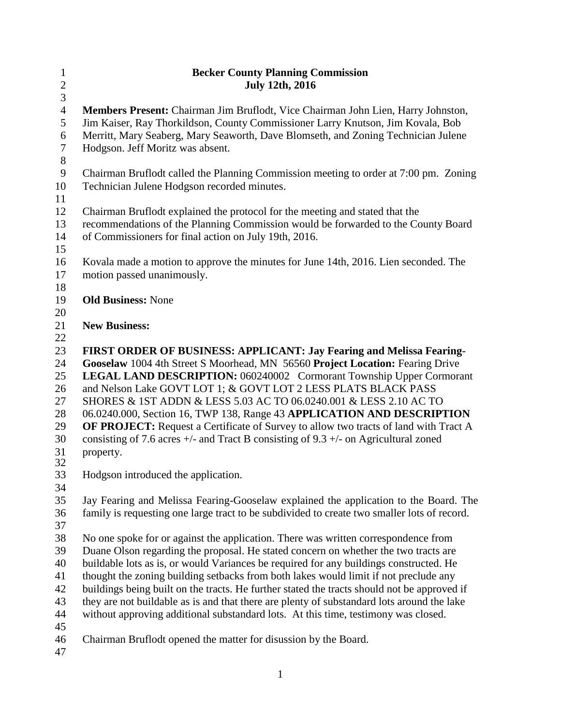| $\mathbf{1}$     | <b>Becker County Planning Commission</b>                                                                          |  |  |  |
|------------------|-------------------------------------------------------------------------------------------------------------------|--|--|--|
| $\overline{c}$   | <b>July 12th, 2016</b>                                                                                            |  |  |  |
| 3                |                                                                                                                   |  |  |  |
| $\overline{4}$   | Members Present: Chairman Jim Bruflodt, Vice Chairman John Lien, Harry Johnston,                                  |  |  |  |
| 5                | Jim Kaiser, Ray Thorkildson, County Commissioner Larry Knutson, Jim Kovala, Bob                                   |  |  |  |
| $\boldsymbol{6}$ | Merritt, Mary Seaberg, Mary Seaworth, Dave Blomseth, and Zoning Technician Julene                                 |  |  |  |
| $\tau$           | Hodgson. Jeff Moritz was absent.                                                                                  |  |  |  |
| $8\,$            |                                                                                                                   |  |  |  |
| $\mathbf{9}$     | Chairman Bruflodt called the Planning Commission meeting to order at 7:00 pm. Zoning                              |  |  |  |
| 10               | Technician Julene Hodgson recorded minutes.                                                                       |  |  |  |
| 11               |                                                                                                                   |  |  |  |
| 12               | Chairman Bruflodt explained the protocol for the meeting and stated that the                                      |  |  |  |
| 13               | recommendations of the Planning Commission would be forwarded to the County Board                                 |  |  |  |
| 14               | of Commissioners for final action on July 19th, 2016.                                                             |  |  |  |
| 15<br>16         |                                                                                                                   |  |  |  |
| 17               | Kovala made a motion to approve the minutes for June 14th, 2016. Lien seconded. The<br>motion passed unanimously. |  |  |  |
| 18               |                                                                                                                   |  |  |  |
| 19               | <b>Old Business: None</b>                                                                                         |  |  |  |
| 20               |                                                                                                                   |  |  |  |
| 21               | <b>New Business:</b>                                                                                              |  |  |  |
| 22               |                                                                                                                   |  |  |  |
| 23               | FIRST ORDER OF BUSINESS: APPLICANT: Jay Fearing and Melissa Fearing-                                              |  |  |  |
| 24               | Gooselaw 1004 4th Street S Moorhead, MN 56560 Project Location: Fearing Drive                                     |  |  |  |
| 25               | LEGAL LAND DESCRIPTION: 060240002 Cormorant Township Upper Cormorant                                              |  |  |  |
| 26               | and Nelson Lake GOVT LOT 1; & GOVT LOT 2 LESS PLATS BLACK PASS                                                    |  |  |  |
| 27               | SHORES & 1ST ADDN & LESS 5.03 AC TO 06.0240.001 & LESS 2.10 AC TO                                                 |  |  |  |
| 28               | 06.0240.000, Section 16, TWP 138, Range 43 APPLICATION AND DESCRIPTION                                            |  |  |  |
| 29               | OF PROJECT: Request a Certificate of Survey to allow two tracts of land with Tract A                              |  |  |  |
| 30               | consisting of 7.6 acres $+/-$ and Tract B consisting of 9.3 $+/-$ on Agricultural zoned                           |  |  |  |
| 31               | property.                                                                                                         |  |  |  |
| 32               |                                                                                                                   |  |  |  |
| 33               | Hodgson introduced the application.                                                                               |  |  |  |
| 34<br>35         | Jay Fearing and Melissa Fearing-Gooselaw explained the application to the Board. The                              |  |  |  |
| 36               | family is requesting one large tract to be subdivided to create two smaller lots of record.                       |  |  |  |
| 37               |                                                                                                                   |  |  |  |
| 38               | No one spoke for or against the application. There was written correspondence from                                |  |  |  |
| 39               | Duane Olson regarding the proposal. He stated concern on whether the two tracts are                               |  |  |  |
| 40               | buildable lots as is, or would Variances be required for any buildings constructed. He                            |  |  |  |
| 41               | thought the zoning building setbacks from both lakes would limit if not preclude any                              |  |  |  |
| 42               | buildings being built on the tracts. He further stated the tracts should not be approved if                       |  |  |  |
| 43               | they are not buildable as is and that there are plenty of substandard lots around the lake                        |  |  |  |
| 44               | without approving additional substandard lots. At this time, testimony was closed.                                |  |  |  |
| 45               |                                                                                                                   |  |  |  |
| 46               | Chairman Bruflodt opened the matter for disussion by the Board.                                                   |  |  |  |
| 47               |                                                                                                                   |  |  |  |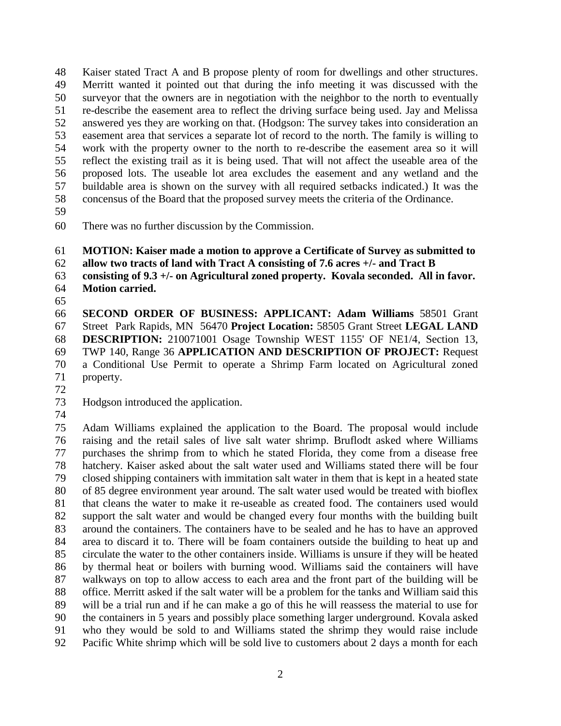Kaiser stated Tract A and B propose plenty of room for dwellings and other structures. Merritt wanted it pointed out that during the info meeting it was discussed with the surveyor that the owners are in negotiation with the neighbor to the north to eventually re-describe the easement area to reflect the driving surface being used. Jay and Melissa answered yes they are working on that. (Hodgson: The survey takes into consideration an easement area that services a separate lot of record to the north. The family is willing to work with the property owner to the north to re-describe the easement area so it will reflect the existing trail as it is being used. That will not affect the useable area of the proposed lots. The useable lot area excludes the easement and any wetland and the buildable area is shown on the survey with all required setbacks indicated.) It was the concensus of the Board that the proposed survey meets the criteria of the Ordinance.

There was no further discussion by the Commission.

**MOTION: Kaiser made a motion to approve a Certificate of Survey as submitted to** 

**allow two tracts of land with Tract A consisting of 7.6 acres +/- and Tract B** 

 **consisting of 9.3 +/- on Agricultural zoned property. Kovala seconded. All in favor. Motion carried.** 

 **SECOND ORDER OF BUSINESS: APPLICANT: Adam Williams** 58501 Grant Street Park Rapids, MN 56470 **Project Location:** 58505 Grant Street **LEGAL LAND DESCRIPTION:** 210071001 Osage Township WEST 1155' OF NE1/4, Section 13, TWP 140, Range 36 **APPLICATION AND DESCRIPTION OF PROJECT:** Request a Conditional Use Permit to operate a Shrimp Farm located on Agricultural zoned property.

Hodgson introduced the application.

 Adam Williams explained the application to the Board. The proposal would include raising and the retail sales of live salt water shrimp. Bruflodt asked where Williams purchases the shrimp from to which he stated Florida, they come from a disease free hatchery. Kaiser asked about the salt water used and Williams stated there will be four closed shipping containers with immitation salt water in them that is kept in a heated state of 85 degree environment year around. The salt water used would be treated with bioflex that cleans the water to make it re-useable as created food. The containers used would support the salt water and would be changed every four months with the building built around the containers. The containers have to be sealed and he has to have an approved area to discard it to. There will be foam containers outside the building to heat up and circulate the water to the other containers inside. Williams is unsure if they will be heated by thermal heat or boilers with burning wood. Williams said the containers will have walkways on top to allow access to each area and the front part of the building will be office. Merritt asked if the salt water will be a problem for the tanks and William said this will be a trial run and if he can make a go of this he will reassess the material to use for the containers in 5 years and possibly place something larger underground. Kovala asked who they would be sold to and Williams stated the shrimp they would raise include Pacific White shrimp which will be sold live to customers about 2 days a month for each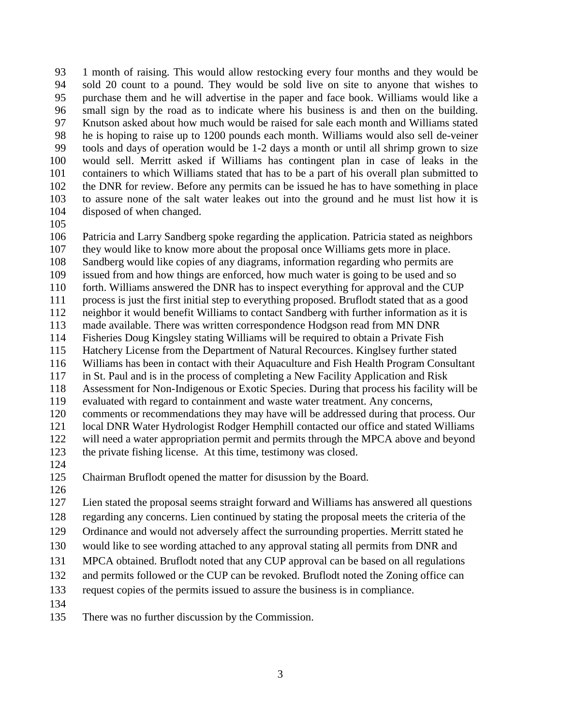1 month of raising. This would allow restocking every four months and they would be sold 20 count to a pound. They would be sold live on site to anyone that wishes to purchase them and he will advertise in the paper and face book. Williams would like a small sign by the road as to indicate where his business is and then on the building. Knutson asked about how much would be raised for sale each month and Williams stated he is hoping to raise up to 1200 pounds each month. Williams would also sell de-veiner tools and days of operation would be 1-2 days a month or until all shrimp grown to size would sell. Merritt asked if Williams has contingent plan in case of leaks in the containers to which Williams stated that has to be a part of his overall plan submitted to the DNR for review. Before any permits can be issued he has to have something in place to assure none of the salt water leakes out into the ground and he must list how it is disposed of when changed.

 Patricia and Larry Sandberg spoke regarding the application. Patricia stated as neighbors they would like to know more about the proposal once Williams gets more in place. Sandberg would like copies of any diagrams, information regarding who permits are

issued from and how things are enforced, how much water is going to be used and so

- forth. Williams answered the DNR has to inspect everything for approval and the CUP
- process is just the first initial step to everything proposed. Bruflodt stated that as a good
- neighbor it would benefit Williams to contact Sandberg with further information as it is
- made available. There was written correspondence Hodgson read from MN DNR
- Fisheries Doug Kingsley stating Williams will be required to obtain a Private Fish
- Hatchery License from the Department of Natural Recources. Kinglsey further stated
- Williams has been in contact with their Aquaculture and Fish Health Program Consultant
- in St. Paul and is in the process of completing a New Facility Application and Risk
- Assessment for Non-Indigenous or Exotic Species. During that process his facility will be evaluated with regard to containment and waste water treatment. Any concerns,
- comments or recommendations they may have will be addressed during that process. Our
- local DNR Water Hydrologist Rodger Hemphill contacted our office and stated Williams will need a water appropriation permit and permits through the MPCA above and beyond the private fishing license. At this time, testimony was closed.
- 
- Chairman Bruflodt opened the matter for disussion by the Board.
- 

 Lien stated the proposal seems straight forward and Williams has answered all questions regarding any concerns. Lien continued by stating the proposal meets the criteria of the

- Ordinance and would not adversely affect the surrounding properties. Merritt stated he
- would like to see wording attached to any approval stating all permits from DNR and
- MPCA obtained. Bruflodt noted that any CUP approval can be based on all regulations
- and permits followed or the CUP can be revoked. Bruflodt noted the Zoning office can
- request copies of the permits issued to assure the business is in compliance.
- 
- There was no further discussion by the Commission.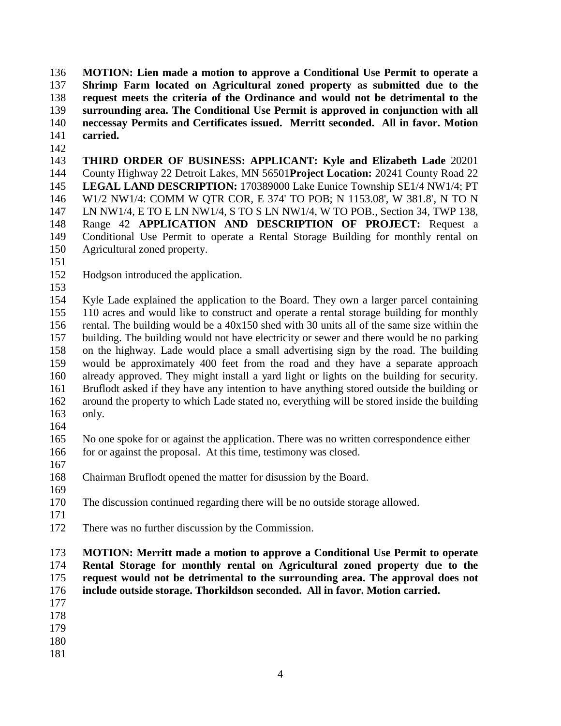**MOTION: Lien made a motion to approve a Conditional Use Permit to operate a Shrimp Farm located on Agricultural zoned property as submitted due to the request meets the criteria of the Ordinance and would not be detrimental to the surrounding area. The Conditional Use Permit is approved in conjunction with all neccessay Permits and Certificates issued. Merritt seconded. All in favor. Motion carried.** 

 **THIRD ORDER OF BUSINESS: APPLICANT: Kyle and Elizabeth Lade** 20201 County Highway 22 Detroit Lakes, MN 56501**Project Location:** 20241 County Road 22 **LEGAL LAND DESCRIPTION:** 170389000 Lake Eunice Township SE1/4 NW1/4; PT W1/2 NW1/4: COMM W QTR COR, E 374' TO POB; N 1153.08', W 381.8', N TO N LN NW1/4, E TO E LN NW1/4, S TO S LN NW1/4, W TO POB., Section 34, TWP 138, Range 42 **APPLICATION AND DESCRIPTION OF PROJECT:** Request a Conditional Use Permit to operate a Rental Storage Building for monthly rental on Agricultural zoned property.

- 
- Hodgson introduced the application.
- 

 Kyle Lade explained the application to the Board. They own a larger parcel containing 110 acres and would like to construct and operate a rental storage building for monthly rental. The building would be a 40x150 shed with 30 units all of the same size within the building. The building would not have electricity or sewer and there would be no parking on the highway. Lade would place a small advertising sign by the road. The building would be approximately 400 feet from the road and they have a separate approach already approved. They might install a yard light or lights on the building for security. Bruflodt asked if they have any intention to have anything stored outside the building or around the property to which Lade stated no, everything will be stored inside the building only.

 No one spoke for or against the application. There was no written correspondence either 166 for or against the proposal. At this time, testimony was closed.

Chairman Bruflodt opened the matter for disussion by the Board.

The discussion continued regarding there will be no outside storage allowed.

- 
- There was no further discussion by the Commission.

## **MOTION: Merritt made a motion to approve a Conditional Use Permit to operate Rental Storage for monthly rental on Agricultural zoned property due to the request would not be detrimental to the surrounding area. The approval does not include outside storage. Thorkildson seconded. All in favor. Motion carried.**

- 
- 
- 
-